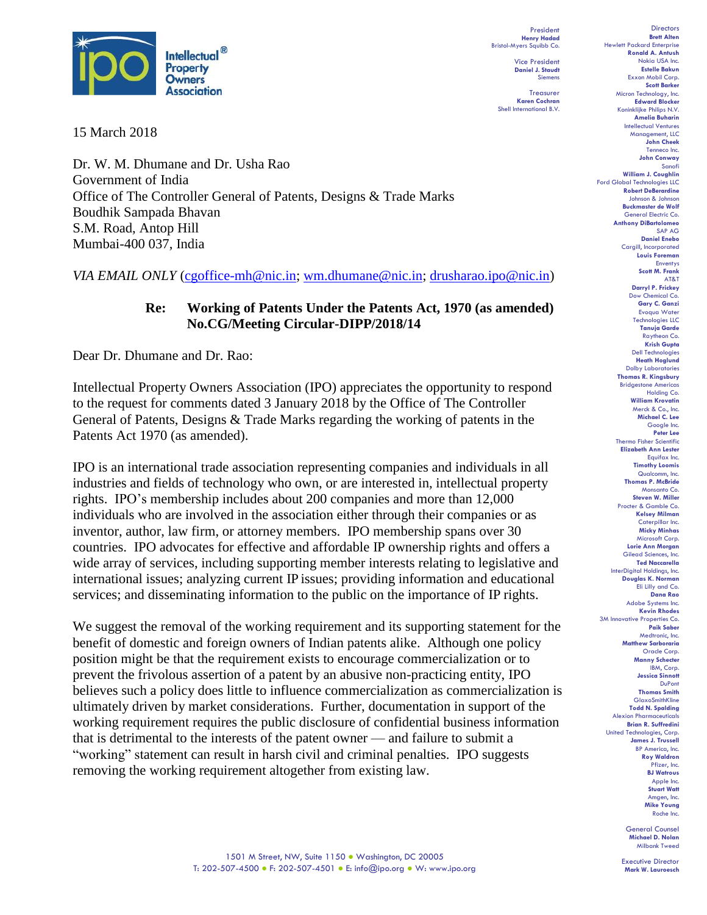

15 March 2018

Dr. W. M. Dhumane and Dr. Usha Rao Government of India Office of The Controller General of Patents, Designs & Trade Marks Boudhik Sampada Bhavan S.M. Road, Antop Hill Mumbai-400 037, India

*VIA EMAIL ONLY* [\(cgoffice-mh@nic.in;](mailto:cgoffice-mh@nic.in) [wm.dhumane@nic.in;](mailto:wm.dhumane@nic.in) [drusharao.ipo@nic.in\)](mailto:drusharao.ipo@nic.in)

## **Re: Working of Patents Under the Patents Act, 1970 (as amended) No.CG/Meeting Circular-DIPP/2018/14**

Dear Dr. Dhumane and Dr. Rao:

Intellectual Property Owners Association (IPO) appreciates the opportunity to respond to the request for comments dated 3 January 2018 by the Office of The Controller General of Patents, Designs & Trade Marks regarding the working of patents in the Patents Act 1970 (as amended).

IPO is an international trade association representing companies and individuals in all industries and fields of technology who own, or are interested in, intellectual property rights. IPO's membership includes about 200 companies and more than 12,000 individuals who are involved in the association either through their companies or as inventor, author, law firm, or attorney members. IPO membership spans over 30 countries. IPO advocates for effective and affordable IP ownership rights and offers a wide array of services, including supporting member interests relating to legislative and international issues; analyzing current IP issues; providing information and educational services; and disseminating information to the public on the importance of IP rights.

We suggest the removal of the working requirement and its supporting statement for the benefit of domestic and foreign owners of Indian patents alike. Although one policy position might be that the requirement exists to encourage commercialization or to prevent the frivolous assertion of a patent by an abusive non-practicing entity, IPO believes such a policy does little to influence commercialization as commercialization is ultimately driven by market considerations. Further, documentation in support of the working requirement requires the public disclosure of confidential business information that is detrimental to the interests of the patent owner — and failure to submit a "working" statement can result in harsh civil and criminal penalties. IPO suggests removing the working requirement altogether from existing law.

President **Henry Hadad** Bristol-Myers Squibb Co. Vice President **Daniel J. Staudt**

Siemens

Treasurer **Karen Cochran** Shell International B.V.

**Directors Brett Alten** Hewlett Packard Enterprise **Ronald A. Antush** Nokia USA Inc. **Estelle Bakun** Exxon Mobil Corp. **Scott Barker** Micron Technology, Inc. **Edward Blocker** Koninklijke Philips N.V. **Amelia Buharin** Intellectual Ventures Management, LLC **John Cheek** Tenneco Inc. **John Conway** Sanofi **William J. Coughlin** Ford Global Technologies LLC **Robert DeBerardine** Johnson & Johnson **Buckmaster de Wolf** General Electric Co. **Anthony DiBartolomeo** SAP AG **Daniel Enebo** Cargill, Incorporated **Louis Foreman** Enventys **Scott M. Frank** AT&T **Darryl P. Frickey** Dow Chemical Co. **Gary C. Ganzi** Evoqua Water Technologies LLC **Tanuja Garde** Raytheon Co. **Krish Gupta** Dell Technologies **Heath Hoglund** Dolby Laboratories **Thomas R. Kingsbury** Bridgestone Americas Holding Co. **William Krovatin** Merck & Co., Inc. **Michael C. Lee** Google Inc. **Peter Lee** Thermo Fisher Scientific **Elizabeth Ann Lester** Equifax Inc. **Timothy Loomis** Qualcomm, Inc. **Thomas P. McBride** Monsanto Co. **Steven W. Miller** Procter & Gamble Co. **Kelsey Milman** Caterpillar Inc. **Micky Minhas** Microsoft Corp. **Lorie Ann Morgan** Gilead Sciences, Inc. **Ted Naccarella** InterDigital Holdings, Inc. **Douglas K. Norman** Eli Lilly and Co. **Dana Rao** Adobe Systems Inc. **Kevin Rhodes** 3M Innovative Properties Co. **Paik Saber** Medtronic, Inc. **Matthew Sarboraria** Oracle Corp. **Manny Schecter** IBM, Corp. **Jessica Sinnott** DuPont **Thomas Smith GlaxoSmithKline Todd N. Spalding** Alexion Pharme **Brian R. Suffredini** United Technologies, Corp. **James J. Trussell** BP America, Inc. **Roy Waldron** Pfizer, Inc. **BJ Watrous** Apple Inc. **Stuart Watt** Amgen, Inc. **Mike Young** Roche Inc.

> General Counsel **Michael D. Nolan** Milbank Tweed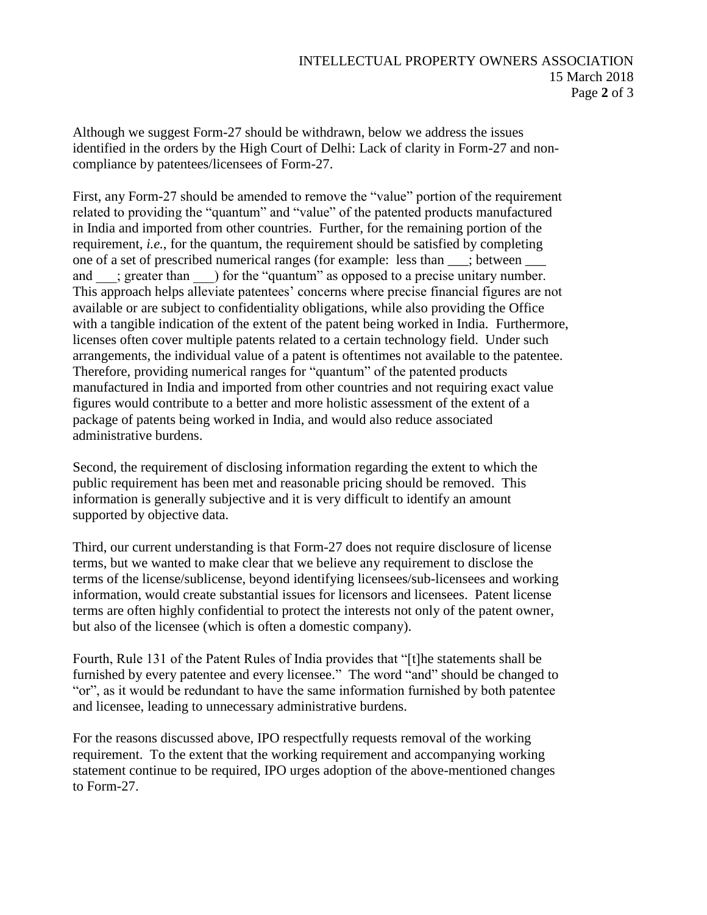Although we suggest Form-27 should be withdrawn, below we address the issues identified in the orders by the High Court of Delhi: Lack of clarity in Form-27 and noncompliance by patentees/licensees of Form-27.

First, any Form-27 should be amended to remove the "value" portion of the requirement related to providing the "quantum" and "value" of the patented products manufactured in India and imported from other countries. Further, for the remaining portion of the requirement, *i.e.*, for the quantum, the requirement should be satisfied by completing one of a set of prescribed numerical ranges (for example: less than \_\_\_; between \_\_\_ and : greater than  $\qquad$ ) for the "quantum" as opposed to a precise unitary number. This approach helps alleviate patentees' concerns where precise financial figures are not available or are subject to confidentiality obligations, while also providing the Office with a tangible indication of the extent of the patent being worked in India. Furthermore, licenses often cover multiple patents related to a certain technology field. Under such arrangements, the individual value of a patent is oftentimes not available to the patentee. Therefore, providing numerical ranges for "quantum" of the patented products manufactured in India and imported from other countries and not requiring exact value figures would contribute to a better and more holistic assessment of the extent of a package of patents being worked in India, and would also reduce associated administrative burdens.

Second, the requirement of disclosing information regarding the extent to which the public requirement has been met and reasonable pricing should be removed. This information is generally subjective and it is very difficult to identify an amount supported by objective data.

Third, our current understanding is that Form-27 does not require disclosure of license terms, but we wanted to make clear that we believe any requirement to disclose the terms of the license/sublicense, beyond identifying licensees/sub-licensees and working information, would create substantial issues for licensors and licensees. Patent license terms are often highly confidential to protect the interests not only of the patent owner, but also of the licensee (which is often a domestic company).

Fourth, Rule 131 of the Patent Rules of India provides that "[t]he statements shall be furnished by every patentee and every licensee." The word "and" should be changed to "or", as it would be redundant to have the same information furnished by both patentee and licensee, leading to unnecessary administrative burdens.

For the reasons discussed above, IPO respectfully requests removal of the working requirement. To the extent that the working requirement and accompanying working statement continue to be required, IPO urges adoption of the above-mentioned changes to Form-27.